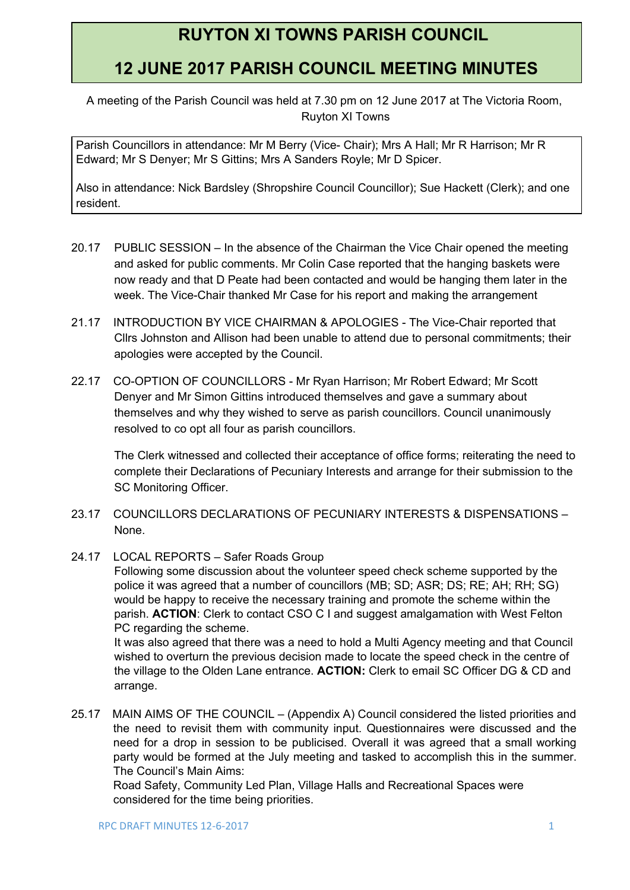# **RUYTON XI TOWNS PARISH COUNCIL**

# **12 JUNE 2017 PARISH COUNCIL MEETING MINUTES**

A meeting of the Parish Council was held at 7.30 pm on 12 June 2017 at The Victoria Room, Ruyton XI Towns

Parish Councillors in attendance: Mr M Berry (Vice- Chair); Mrs A Hall; Mr R Harrison; Mr R Edward; Mr S Denyer; Mr S Gittins; Mrs A Sanders Royle; Mr D Spicer.

Also in attendance: Nick Bardsley (Shropshire Council Councillor); Sue Hackett (Clerk); and one resident.

- 20.17 PUBLIC SESSION In the absence of the Chairman the Vice Chair opened the meeting and asked for public comments. Mr Colin Case reported that the hanging baskets were now ready and that D Peate had been contacted and would be hanging them later in the week. The Vice-Chair thanked Mr Case for his report and making the arrangement
- 21.17 INTRODUCTION BY VICE CHAIRMAN & APOLOGIES The Vice-Chair reported that Cllrs Johnston and Allison had been unable to attend due to personal commitments; their apologies were accepted by the Council.
- 22.17 CO-OPTION OF COUNCILLORS Mr Ryan Harrison; Mr Robert Edward; Mr Scott Denyer and Mr Simon Gittins introduced themselves and gave a summary about themselves and why they wished to serve as parish councillors. Council unanimously resolved to co opt all four as parish councillors.

The Clerk witnessed and collected their acceptance of office forms; reiterating the need to complete their Declarations of Pecuniary Interests and arrange for their submission to the SC Monitoring Officer.

- 23.17 COUNCILLORS DECLARATIONS OF PECUNIARY INTERESTS & DISPENSATIONS None.
- 24.17 LOCAL REPORTS Safer Roads Group

Following some discussion about the volunteer speed check scheme supported by the police it was agreed that a number of councillors (MB; SD; ASR; DS; RE; AH; RH; SG) would be happy to receive the necessary training and promote the scheme within the parish. **ACTION**: Clerk to contact CSO C I and suggest amalgamation with West Felton PC regarding the scheme.

It was also agreed that there was a need to hold a Multi Agency meeting and that Council wished to overturn the previous decision made to locate the speed check in the centre of the village to the Olden Lane entrance. **ACTION:** Clerk to email SC Officer DG & CD and arrange.

25.17 MAIN AIMS OF THE COUNCIL – (Appendix A) Council considered the listed priorities and the need to revisit them with community input. Questionnaires were discussed and the need for a drop in session to be publicised. Overall it was agreed that a small working party would be formed at the July meeting and tasked to accomplish this in the summer. The Council's Main Aims:

Road Safety, Community Led Plan, Village Halls and Recreational Spaces were considered for the time being priorities.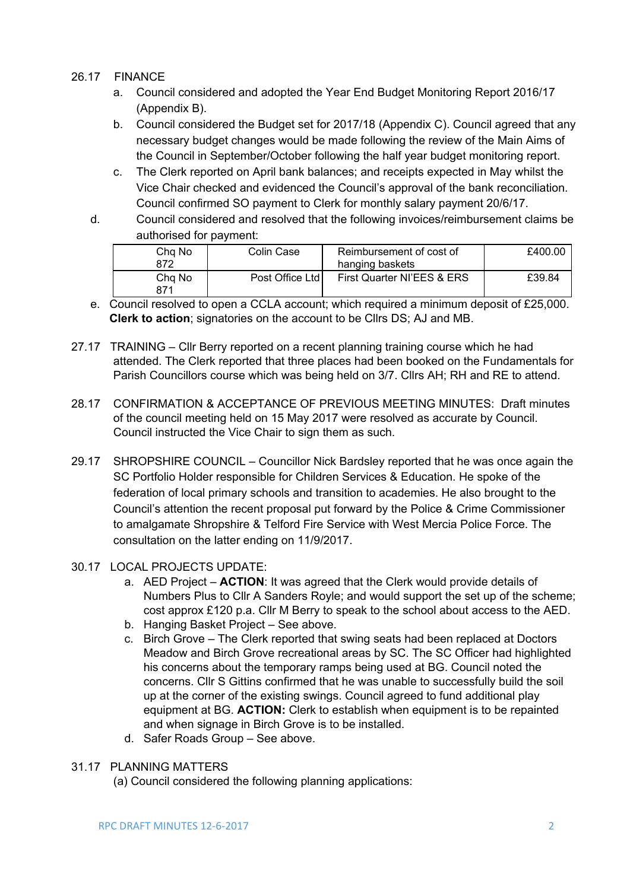## 26.17 FINANCE

- a. Council considered and adopted the Year End Budget Monitoring Report 2016/17 (Appendix B).
- b. Council considered the Budget set for 2017/18 (Appendix C). Council agreed that any necessary budget changes would be made following the review of the Main Aims of the Council in September/October following the half year budget monitoring report.
- c. The Clerk reported on April bank balances; and receipts expected in May whilst the Vice Chair checked and evidenced the Council's approval of the bank reconciliation. Council confirmed SO payment to Clerk for monthly salary payment 20/6/17.
- d. Council considered and resolved that the following invoices/reimbursement claims be authorised for payment:

| Cha No<br>872 | Colin Case      | Reimbursement of cost of<br>hanging baskets | £400.00 |
|---------------|-----------------|---------------------------------------------|---------|
| Cha No<br>871 | Post Office Ltd | First Quarter NI'EES & ERS                  | £39.84  |

- e. Council resolved to open a CCLA account; which required a minimum deposit of £25,000. **Clerk to action**; signatories on the account to be Cllrs DS; AJ and MB.
- 27.17 TRAINING Cllr Berry reported on a recent planning training course which he had attended. The Clerk reported that three places had been booked on the Fundamentals for Parish Councillors course which was being held on 3/7. Cllrs AH; RH and RE to attend.
- 28.17 CONFIRMATION & ACCEPTANCE OF PREVIOUS MEETING MINUTES: Draft minutes of the council meeting held on 15 May 2017 were resolved as accurate by Council. Council instructed the Vice Chair to sign them as such.
- 29.17 SHROPSHIRE COUNCIL Councillor Nick Bardsley reported that he was once again the SC Portfolio Holder responsible for Children Services & Education. He spoke of the federation of local primary schools and transition to academies. He also brought to the Council's attention the recent proposal put forward by the Police & Crime Commissioner to amalgamate Shropshire & Telford Fire Service with West Mercia Police Force. The consultation on the latter ending on 11/9/2017.

## 30.17 LOCAL PROJECTS UPDATE:

- a. AED Project **ACTION**: It was agreed that the Clerk would provide details of Numbers Plus to Cllr A Sanders Royle; and would support the set up of the scheme; cost approx £120 p.a. Cllr M Berry to speak to the school about access to the AED.
- b. Hanging Basket Project See above.
- c. Birch Grove The Clerk reported that swing seats had been replaced at Doctors Meadow and Birch Grove recreational areas by SC. The SC Officer had highlighted his concerns about the temporary ramps being used at BG. Council noted the concerns. Cllr S Gittins confirmed that he was unable to successfully build the soil up at the corner of the existing swings. Council agreed to fund additional play equipment at BG. **ACTION:** Clerk to establish when equipment is to be repainted and when signage in Birch Grove is to be installed.
- d. Safer Roads Group See above.

#### 31.17 PLANNING MATTERS

(a) Council considered the following planning applications: